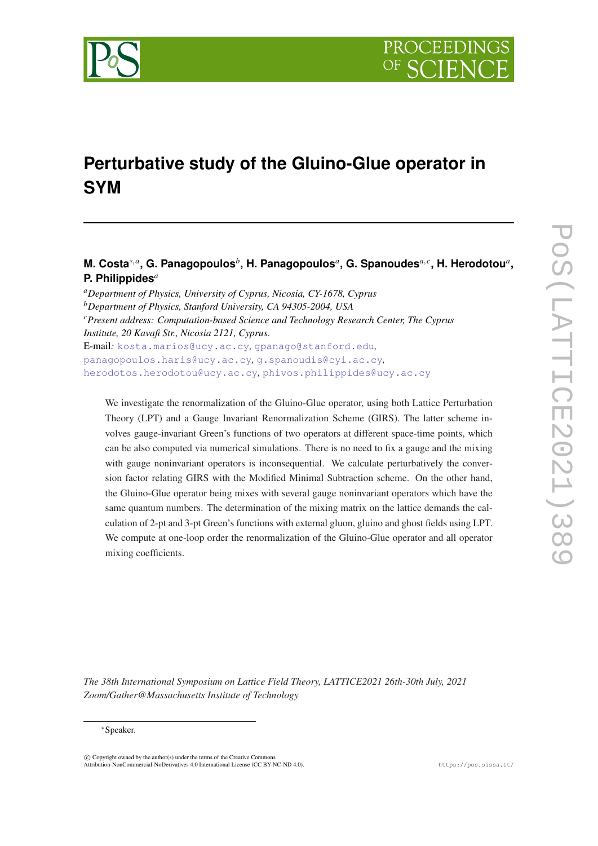



# **Perturbative study of the Gluino-Glue operator in SYM**

# **M. Costa**∗,*<sup>a</sup>* **, G. Panagopoulos***<sup>b</sup>* **, H. Panagopoulos***<sup>a</sup>* **, G. Spanoudes***a*, *<sup>c</sup>* **, H. Herodotou***<sup>a</sup>* **, P. Philippides***<sup>a</sup>*

*<sup>a</sup>Department of Physics, University of Cyprus, Nicosia, CY-1678, Cyprus <sup>b</sup>Department of Physics, Stanford University, CA 94305-2004, USA <sup>c</sup>Present address: Computation-based Science and Technology Research Center, The Cyprus Institute, 20 Kavafi Str., Nicosia 2121, Cyprus.* E-mail*:* [kosta.marios@ucy.ac.cy](mailto:kosta.marios@ucy.ac.cy)*,* [gpanago@stanford.edu](mailto:gpanago@stanford.edu)*,* [panagopoulos.haris@ucy.ac.cy](mailto:panagopoulos.haris@ucy.ac.cy)*,* [g.spanoudis@cyi.ac.cy](mailto:g.spanoudis@cyi.ac.cy)*,* [herodotos.herodotou@ucy.ac.cy](mailto:herodotos.herodotou@ucy.ac.cy)*,* [phivos.philippides@ucy.ac.cy](mailto:phivos.philippides@ucy.ac.cy)

We investigate the renormalization of the Gluino-Glue operator, using both Lattice Perturbation Theory (LPT) and a Gauge Invariant Renormalization Scheme (GIRS). The latter scheme involves gauge-invariant Green's functions of two operators at different space-time points, which can be also computed via numerical simulations. There is no need to fix a gauge and the mixing with gauge noninvariant operators is inconsequential. We calculate perturbatively the conversion factor relating GIRS with the Modified Minimal Subtraction scheme. On the other hand, the Gluino-Glue operator being mixes with several gauge noninvariant operators which have the same quantum numbers. The determination of the mixing matrix on the lattice demands the calculation of 2-pt and 3-pt Green's functions with external gluon, gluino and ghost fields using LPT. We compute at one-loop order the renormalization of the Gluino-Glue operator and all operator mixing coefficients.

*The 38th International Symposium on Lattice Field Theory, LATTICE2021 26th-30th July, 2021 Zoom/Gather@Massachusetts Institute of Technology*

#### <sup>∗</sup>Speaker.

 $\overline{c}$  Copyright owned by the author(s) under the terms of the Creative Common Attribution-NonCommercial-NoDerivatives 4.0 International License (CC BY-NC-ND 4.0). https://pos.sissa.it/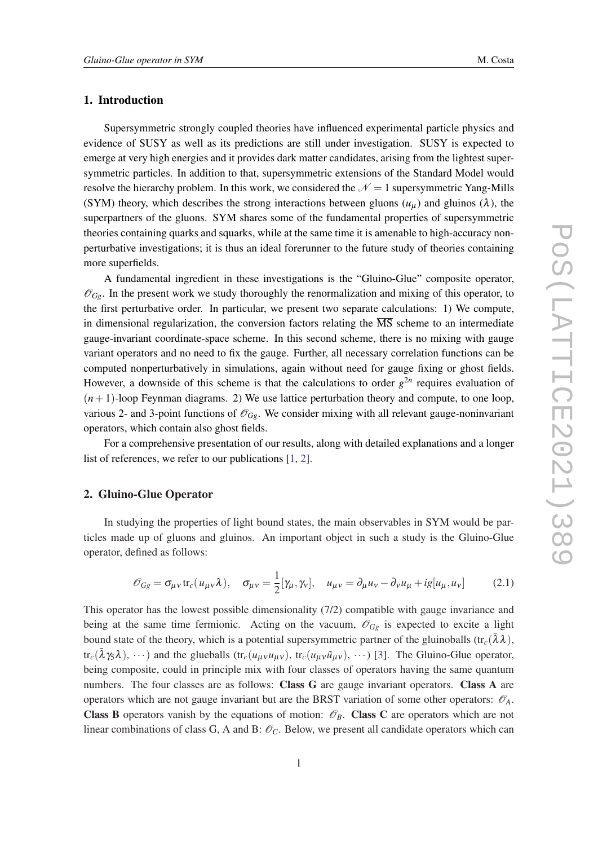## 1. Introduction

Supersymmetric strongly coupled theories have influenced experimental particle physics and evidence of SUSY as well as its predictions are still under investigation. SUSY is expected to emerge at very high energies and it provides dark matter candidates, arising from the lightest supersymmetric particles. In addition to that, supersymmetric extensions of the Standard Model would resolve the hierarchy problem. In this work, we considered the  $\mathcal{N} = 1$  supersymmetric Yang-Mills (SYM) theory, which describes the strong interactions between gluons  $(u<sub>u</sub>)$  and gluinos ( $\lambda$ ), the superpartners of the gluons. SYM shares some of the fundamental properties of supersymmetric theories containing quarks and squarks, while at the same time it is amenable to high-accuracy nonperturbative investigations; it is thus an ideal forerunner to the future study of theories containing more superfields.

A fundamental ingredient in these investigations is the "Gluino-Glue" composite operator,  $\mathscr{O}_{Gg}$ . In the present work we study thoroughly the renormalization and mixing of this operator, to the first perturbative order. In particular, we present two separate calculations: 1) We compute, in dimensional regularization, the conversion factors relating the  $\overline{\text{MS}}$  scheme to an intermediate gauge-invariant coordinate-space scheme. In this second scheme, there is no mixing with gauge variant operators and no need to fix the gauge. Further, all necessary correlation functions can be computed nonperturbatively in simulations, again without need for gauge fixing or ghost fields. However, a downside of this scheme is that the calculations to order  $g^{2n}$  requires evaluation of  $(n+1)$ -loop Feynman diagrams. 2) We use lattice perturbation theory and compute, to one loop, various 2- and 3-point functions of  $\mathscr{O}_{Gg}$ . We consider mixing with all relevant gauge-noninvariant operators, which contain also ghost fields.

For a comprehensive presentation of our results, along with detailed explanations and a longer list of references, we refer to our publications [\[1,](#page-7-0) [2\]](#page-7-0).

#### 2. Gluino-Glue Operator

In studying the properties of light bound states, the main observables in SYM would be particles made up of gluons and gluinos. An important object in such a study is the Gluino-Glue operator, defined as follows:

$$
\mathcal{O}_{Gg} = \sigma_{\mu\nu} \text{tr}_c(u_{\mu\nu}\lambda), \quad \sigma_{\mu\nu} = \frac{1}{2} [\gamma_\mu, \gamma_\nu], \quad u_{\mu\nu} = \partial_\mu u_\nu - \partial_\nu u_\mu + ig[u_\mu, u_\nu]
$$
(2.1)

This operator has the lowest possible dimensionality (7/2) compatible with gauge invariance and being at the same time fermionic. Acting on the vacuum,  $\mathscr{O}_{Gg}$  is expected to excite a light bound state of the theory, which is a potential supersymmetric partner of the gluinoballs (tr<sub>c</sub>( $\bar{\lambda}\lambda$ ),  $tr_c(\bar{\lambda} \gamma_5 \lambda), \dots$ ) and the glueballs  $(tr_c(u_{\mu\nu} u_{\mu\nu}), tr_c(u_{\mu\nu} \tilde{u}_{\mu\nu}), \dots)$  [\[3\]](#page-7-0). The Gluino-Glue operator, being composite, could in principle mix with four classes of operators having the same quantum numbers. The four classes are as follows: Class G are gauge invariant operators. Class A are operators which are not gauge invariant but are the BRST variation of some other operators:  $\mathcal{O}_A$ . **Class B** operators vanish by the equations of motion:  $\mathcal{O}_B$ . **Class C** are operators which are not linear combinations of class G, A and B:  $\mathcal{O}_C$ . Below, we present all candidate operators which can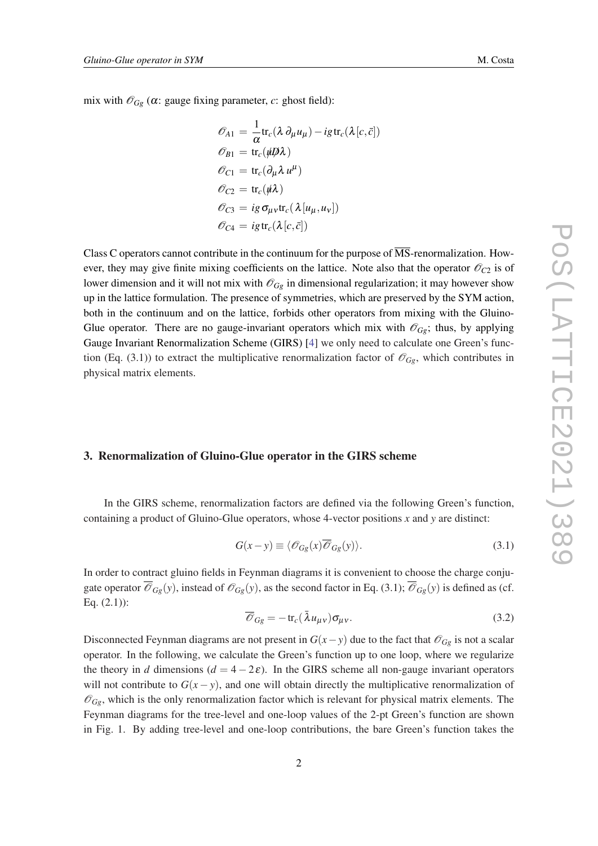mix with  $\mathcal{O}_{Gg}$  ( $\alpha$ : gauge fixing parameter,  $c$ : ghost field):

$$
\begin{aligned}\n\mathcal{O}_{A1} &= \frac{1}{\alpha} \text{tr}_c(\lambda \partial_\mu u_\mu) - ig \text{tr}_c(\lambda [c, \bar{c}]) \\
\mathcal{O}_{B1} &= \text{tr}_c(\psi \mathcal{D} \lambda) \\
\mathcal{O}_{C1} &= \text{tr}_c(\partial_\mu \lambda u^\mu) \\
\mathcal{O}_{C2} &= \text{tr}_c(\psi \lambda) \\
\mathcal{O}_{C3} &= ig \sigma_{\mu\nu} \text{tr}_c(\lambda [u_\mu, u_\nu]) \\
\mathcal{O}_{C4} &= ig \text{tr}_c(\lambda [c, \bar{c}])\n\end{aligned}
$$

Class C operators cannot contribute in the continuum for the purpose of  $\overline{\text{MS}}$ -renormalization. However, they may give finite mixing coefficients on the lattice. Note also that the operator  $\mathcal{O}_{C2}$  is of lower dimension and it will not mix with  $\mathcal{O}_{Gg}$  in dimensional regularization; it may however show up in the lattice formulation. The presence of symmetries, which are preserved by the SYM action, both in the continuum and on the lattice, forbids other operators from mixing with the Gluino-Glue operator. There are no gauge-invariant operators which mix with  $\mathcal{O}_{Gg}$ ; thus, by applying Gauge Invariant Renormalization Scheme (GIRS) [[4](#page-7-0)] we only need to calculate one Green's function (Eq. (3.1)) to extract the multiplicative renormalization factor of  $\mathscr{O}_{G\rho}$ , which contributes in physical matrix elements.

#### 3. Renormalization of Gluino-Glue operator in the GIRS scheme

In the GIRS scheme, renormalization factors are defined via the following Green's function, containing a product of Gluino-Glue operators, whose 4-vector positions *x* and *y* are distinct:

$$
G(x - y) \equiv \langle \mathcal{O}_{Gg}(x) \overline{\mathcal{O}}_{Gg}(y) \rangle.
$$
 (3.1)

In order to contract gluino fields in Feynman diagrams it is convenient to choose the charge conjugate operator  $\overline{\mathcal{O}}_{Gg}(y)$ , instead of  $\mathcal{O}_{Gg}(y)$ , as the second factor in Eq. (3.1);  $\overline{\mathcal{O}}_{Gg}(y)$  is defined as (cf. Eq. (2.1)):

$$
\overline{\mathscr{O}}_{Gg} = -\operatorname{tr}_{c}(\bar{\lambda}u_{\mu\nu})\sigma_{\mu\nu}.
$$
\n(3.2)

Disconnected Feynman diagrams are not present in  $G(x - y)$  due to the fact that  $\mathcal{O}_{Gg}$  is not a scalar operator. In the following, we calculate the Green's function up to one loop, where we regularize the theory in *d* dimensions  $(d = 4 - 2\varepsilon)$ . In the GIRS scheme all non-gauge invariant operators will not contribute to  $G(x - y)$ , and one will obtain directly the multiplicative renormalization of  $\mathscr{O}_{Gg}$ , which is the only renormalization factor which is relevant for physical matrix elements. The Feynman diagrams for the tree-level and one-loop values of the 2-pt Green's function are shown in Fig. 1. By adding tree-level and one-loop contributions, the bare Green's function takes the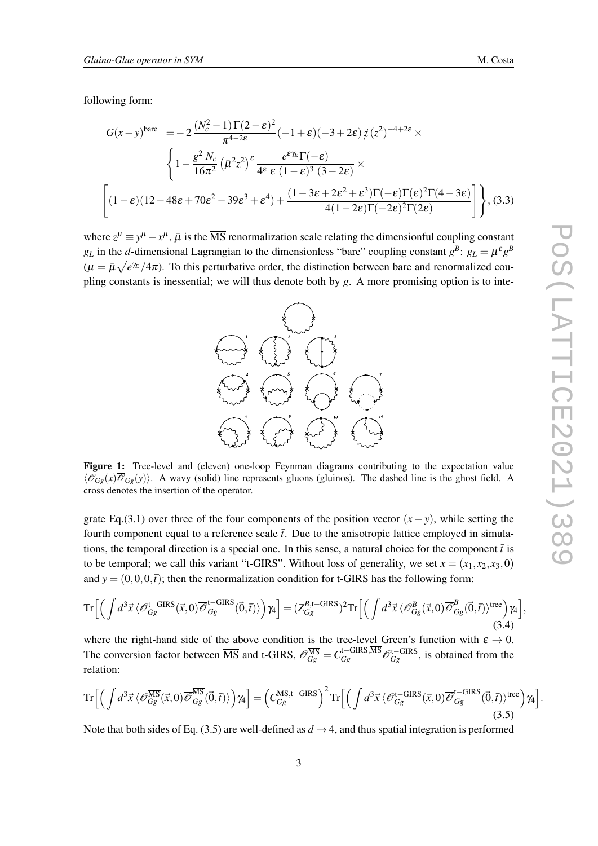following form:

$$
G(x-y)^{\text{bare}} = -2 \frac{(N_c^2 - 1)\Gamma(2-\varepsilon)^2}{\pi^{4-2\varepsilon}} (-1+\varepsilon)(-3+2\varepsilon) \, \zeta(z)^{-4+2\varepsilon} \times \left\{ 1 - \frac{g^2 N_c}{16\pi^2} \left( \bar{\mu}^2 z^2 \right)^{\varepsilon} \frac{e^{\varepsilon \gamma_E} \Gamma(-\varepsilon)}{4\varepsilon \varepsilon (1-\varepsilon)^3 (3-2\varepsilon)} \times \left[ (1-\varepsilon)(12-48\varepsilon+70\varepsilon^2-39\varepsilon^3+\varepsilon^4) + \frac{(1-3\varepsilon+2\varepsilon^2+\varepsilon^3)\Gamma(-\varepsilon)\Gamma(\varepsilon)^2 \Gamma(4-3\varepsilon)}{4(1-2\varepsilon)\Gamma(-2\varepsilon)^2 \Gamma(2\varepsilon)} \right] \right\}, (3.3)
$$

where  $z^{\mu} \equiv y^{\mu} - x^{\mu}$ ,  $\bar{\mu}$  is the  $\overline{\text{MS}}$  renormalization scale relating the dimensionful coupling constant *g*<sub>L</sub> in the *d*-dimensional Lagrangian to the dimensionless "bare" coupling constant  $g^B$ :  $g_L = \mu^E g^B$  $(\mu = \bar{\mu}\sqrt{e^{\gamma_E}/4\pi})$ . To this perturbative order, the distinction between bare and renormalized coupling constants is inessential; we will thus denote both by *g*. A more promising option is to inte-



Figure 1: Tree-level and (eleven) one-loop Feynman diagrams contributing to the expectation value  $\langle \mathcal{O}_{G\rho}(x) \overline{\mathcal{O}}_{G\rho}(y) \rangle$ . A wavy (solid) line represents gluons (gluinos). The dashed line is the ghost field. A cross denotes the insertion of the operator.

grate Eq.(3.1) over three of the four components of the position vector  $(x - y)$ , while setting the fourth component equal to a reference scale  $\bar{t}$ . Due to the anisotropic lattice employed in simulations, the temporal direction is a special one. In this sense, a natural choice for the component  $\bar{t}$  is to be temporal; we call this variant "t-GIRS". Without loss of generality, we set  $x = (x_1, x_2, x_3, 0)$ and  $y = (0,0,0,\bar{t})$ ; then the renormalization condition for t-GIRS has the following form:

$$
\operatorname{Tr}\Big[\Big(\int d^3\vec{x}\,\langle\mathscr{O}_{Gg}^{t-\text{GIRS}}(\vec{x},0)\overline{\mathscr{O}}_{Gg}^{t-\text{GIRS}}(\vec{0},\vec{t})\rangle\Big)\gamma_4\Big] = (Z_{Gg}^{B,t-\text{GIRS}})^2 \operatorname{Tr}\Big[\Big(\int d^3\vec{x}\,\langle\mathscr{O}_{Gg}^B(\vec{x},0)\overline{\mathscr{O}}_{Gg}^B(\vec{0},\vec{t})\rangle^{\text{tree}}\Big)\gamma_4\Big],\tag{3.4}
$$

where the right-hand side of the above condition is the tree-level Green's function with  $\varepsilon \to 0$ . The conversion factor between  $\overline{\text{MS}}$  and t-GIRS,  $\mathscr{O}_{Gg}^{\overline{\text{MS}}} = C_{Gg}^{\text{t-GIRS,MS}} \mathscr{O}_{Gg}^{\text{t-GIRS}}$ , is obtained from the relation:

$$
\operatorname{Tr}\Big[\Big(\int d^3\vec{x}\,\langle\mathscr{O}_{Gg}^{\overline{\text{MS}}}(\vec{x},0)\overline{\mathscr{O}}_{Gg}^{\overline{\text{MS}}}(\vec{0},\vec{t})\rangle\Big)\gamma_4\Big] = \Big(C_{Gg}^{\overline{\text{MS}},t-\text{GIRS}}\Big)^2 \operatorname{Tr}\Big[\Big(\int d^3\vec{x}\,\langle\mathscr{O}_{Gg}^{t-\text{GIRS}}(\vec{x},0)\overline{\mathscr{O}}_{Gg}^{t-\text{GIRS}}(\vec{0},\vec{t})\rangle^{\text{tree}}\Big)\gamma_4\Big].\tag{3.5}
$$

Note that both sides of Eq. (3.5) are well-defined as  $d \rightarrow 4$ , and thus spatial integration is performed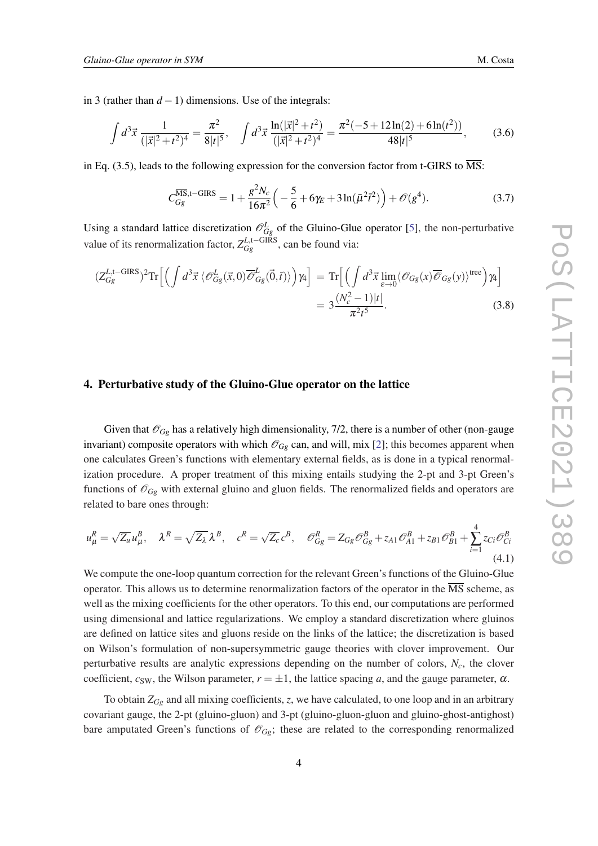in 3 (rather than  $d - 1$ ) dimensions. Use of the integrals:

$$
\int d^3 \vec{x} \, \frac{1}{(|\vec{x}|^2 + t^2)^4} = \frac{\pi^2}{8|t|^5}, \quad \int d^3 \vec{x} \, \frac{\ln(|\vec{x}|^2 + t^2)}{(|\vec{x}|^2 + t^2)^4} = \frac{\pi^2(-5 + 12\ln(2) + 6\ln(t^2))}{48|t|^5},\tag{3.6}
$$

in Eq. (3.5), leads to the following expression for the conversion factor from t-GIRS to  $\overline{\text{MS}}$ :

$$
C_{Gg}^{\overline{\text{MS}},t-\text{GIRS}} = 1 + \frac{g^2 N_c}{16\pi^2} \left( -\frac{5}{6} + 6\gamma_E + 3\ln(\bar{\mu}^2 \bar{t}^2) \right) + \mathcal{O}(g^4). \tag{3.7}
$$

Using a standard lattice discretization  $\mathcal{O}_{Gg}^L$  of the Gluino-Glue operator [\[5\]](#page-7-0), the non-perturbative value of its renormalization factor,  $Z_{Gg}^{L,\text{t}-\text{GIRS}}$ , can be found via:

$$
(Z_{Gg}^{L,\text{t-GIRS}})^2 \text{Tr} \Big[ \Big( \int d^3 \vec{x} \, \langle \mathcal{O}_{Gg}^L(\vec{x},0) \overline{\mathcal{O}}_{Gg}^L(\vec{0},\vec{t}) \rangle \Big) \gamma_4 \Big] = \text{Tr} \Big[ \Big( \int d^3 \vec{x} \lim_{\varepsilon \to 0} \langle \mathcal{O}_{Gg}(x) \overline{\mathcal{O}}_{Gg}(y) \rangle^{\text{tree}} \Big) \gamma_4 \Big] = 3 \frac{(N_c^2 - 1)|t|}{\pi^2 t^5}.
$$
 (3.8)

#### 4. Perturbative study of the Gluino-Glue operator on the lattice

Given that  $\mathcal{O}_{Gg}$  has a relatively high dimensionality, 7/2, there is a number of other (non-gauge invariant) composite operators with which  $\mathcal{O}_{Gg}$  can, and will, mix [\[2\]](#page-7-0); this becomes apparent when one calculates Green's functions with elementary external fields, as is done in a typical renormalization procedure. A proper treatment of this mixing entails studying the 2-pt and 3-pt Green's functions of  $\mathcal{O}_{Gg}$  with external gluino and gluon fields. The renormalized fields and operators are related to bare ones through:

$$
u^R_\mu = \sqrt{Z_u} u^B_\mu, \quad \lambda^R = \sqrt{Z_\lambda} \lambda^B, \quad c^R = \sqrt{Z_c} c^B, \quad \mathcal{O}^R_{Gg} = Z_{Gg} \mathcal{O}^B_{Gg} + z_{A1} \mathcal{O}^B_{A1} + z_{B1} \mathcal{O}^B_{B1} + \sum_{i=1}^4 z_{Ci} \mathcal{O}^B_{Ci}
$$
\n
$$
(4.1)
$$

We compute the one-loop quantum correction for the relevant Green's functions of the Gluino-Glue operator. This allows us to determine renormalization factors of the operator in the  $\overline{\text{MS}}$  scheme, as well as the mixing coefficients for the other operators. To this end, our computations are performed using dimensional and lattice regularizations. We employ a standard discretization where gluinos are defined on lattice sites and gluons reside on the links of the lattice; the discretization is based on Wilson's formulation of non-supersymmetric gauge theories with clover improvement. Our perturbative results are analytic expressions depending on the number of colors, *Nc*, the clover coefficient,  $c_{SW}$ , the Wilson parameter,  $r = \pm 1$ , the lattice spacing *a*, and the gauge parameter,  $\alpha$ .

To obtain *ZGg* and all mixing coefficients, *z*, we have calculated, to one loop and in an arbitrary covariant gauge, the 2-pt (gluino-gluon) and 3-pt (gluino-gluon-gluon and gluino-ghost-antighost) bare amputated Green's functions of  $\mathcal{O}_{Gg}$ ; these are related to the corresponding renormalized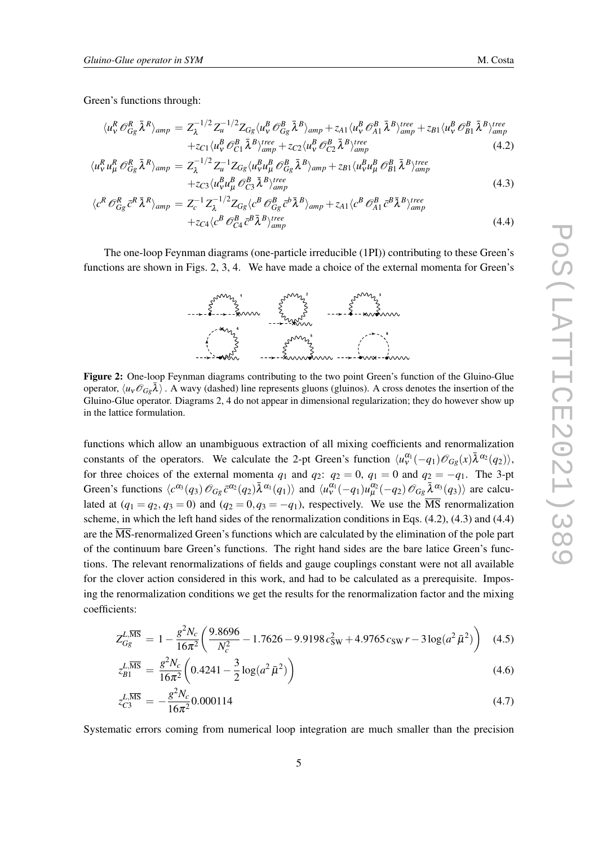Green's functions through:

$$
\langle u_{\nu}^{R} \mathcal{O}_{Gg}^{R} \bar{\lambda}^{R} \rangle_{amp} = Z_{\lambda}^{-1/2} Z_{u}^{-1/2} Z_{Gg} \langle u_{\nu}^{B} \mathcal{O}_{Gg}^{B} \bar{\lambda}^{B} \rangle_{amp} + z_{A1} \langle u_{\nu}^{B} \mathcal{O}_{A1}^{B} \bar{\lambda}^{B} \rangle_{amp}^{tree} + z_{B1} \langle u_{\nu}^{B} \mathcal{O}_{B1}^{B} \bar{\lambda}^{B} \rangle_{amp}^{tree} + z_{C1} \langle u_{\nu}^{B} \mathcal{O}_{C1}^{B} \bar{\lambda}^{B} \rangle_{amp}^{tree} + z_{C2} \langle u_{\nu}^{B} \mathcal{O}_{C2}^{B} \bar{\lambda}^{B} \rangle_{amp}^{tree}
$$
\n(4.2)

$$
\langle u_{\nu}^{R} u_{\mu}^{R} \mathcal{O}_{Gg}^{R} \bar{\lambda}^{R} \rangle_{amp} = Z_{\lambda}^{-1/2} Z_{u}^{-1} Z_{Gg} \langle u_{\nu}^{R} u_{\mu}^{B} \mathcal{O}_{Gg}^{B} \bar{\lambda}^{B} \rangle_{amp} + z_{B1} \langle u_{\nu}^{B} u_{\mu}^{B} \mathcal{O}_{B1}^{B} \bar{\lambda}^{B} \rangle_{amp}^{tree} + z_{C3} \langle u_{\nu}^{B} u_{\mu}^{B} \mathcal{O}_{C3}^{B} \bar{\lambda}^{B} \rangle_{amp}^{tree}
$$
\n(4.3)

$$
\langle c^R \mathcal{O}_{Gg}^R \bar{c}^R \bar{\lambda}^R \rangle_{amp} = Z_c^{-1} Z_\lambda^{-1/2} Z_{Gg} \langle c^B \mathcal{O}_{Gg}^B \bar{c}^b \bar{\lambda}^B \rangle_{amp} + z_{A1} \langle c^B \mathcal{O}_{A1}^B \bar{c}^B \bar{\lambda}^B \rangle_{amp}^{tree} + z_{C4} \langle c^B \mathcal{O}_{C4}^B \bar{c}^B \bar{\lambda}^B \rangle_{amp}^{tree}
$$
(4.4)

The one-loop Feynman diagrams (one-particle irreducible (1PI)) contributing to these Green's functions are shown in Figs. 2, 3, 4. We have made a choice of the external momenta for Green's



Figure 2: One-loop Feynman diagrams contributing to the two point Green's function of the Gluino-Glue operator,  $\langle u_v \mathcal{O}_{G_\mathcal{E}} \bar{\lambda} \rangle$ . A wavy (dashed) line represents gluons (gluinos). A cross denotes the insertion of the Gluino-Glue operator. Diagrams 2, 4 do not appear in dimensional regularization; they do however show up in the lattice formulation.

functions which allow an unambiguous extraction of all mixing coefficients and renormalization constants of the operators. We calculate the 2-pt Green's function  $\langle u_{\nu}^{\alpha_1}(-q_1)\mathscr{O}_{Gg}(x)\bar{\lambda}^{\alpha_2}(q_2)\rangle$ , for three choices of the external momenta  $q_1$  and  $q_2$ :  $q_2 = 0$ ,  $q_1 = 0$  and  $q_2 = -q_1$ . The 3-pt Green's functions  $\langle c^{\alpha_3}(q_3) \mathcal{O}_{Gg} \bar{c}^{\alpha_2}(q_2) \bar{\lambda}^{\alpha_1}(q_1) \rangle$  and  $\langle u^{\alpha_1}_v(-q_1) u^{\alpha_2}_\mu(-q_2) \mathcal{O}_{Gg} \bar{\lambda}^{\alpha_3}(q_3) \rangle$  are calculated at  $(q_1 = q_2, q_3 = 0)$  and  $(q_2 = 0, q_3 = -q_1)$ , respectively. We use the  $\overline{\text{MS}}$  renormalization scheme, in which the left hand sides of the renormalization conditions in Eqs. (4.2), (4.3) and (4.4) are the  $\overline{\text{MS}}$ -renormalized Green's functions which are calculated by the elimination of the pole part of the continuum bare Green's functions. The right hand sides are the bare latice Green's functions. The relevant renormalizations of fields and gauge couplings constant were not all available for the clover action considered in this work, and had to be calculated as a prerequisite. Imposing the renormalization conditions we get the results for the renormalization factor and the mixing coefficients:

$$
Z_{Gg}^{L,\overline{\rm MS}} = 1 - \frac{g^2 N_c}{16\pi^2} \left( \frac{9.8696}{N_c^2} - 1.7626 - 9.9198 c_{\rm SW}^2 + 4.9765 c_{\rm SW} r - 3 \log(a^2 \bar{\mu}^2) \right) \tag{4.5}
$$

$$
z_{B1}^{L,\overline{\text{MS}}} = \frac{g^2 N_c}{16\pi^2} \left( 0.4241 - \frac{3}{2} \log(a^2 \bar{\mu}^2) \right) \tag{4.6}
$$

$$
z_{C3}^{L,\overline{\text{MS}}} = -\frac{g^2 N_c}{16\pi^2} 0.000114
$$
\n(4.7)

Systematic errors coming from numerical loop integration are much smaller than the precision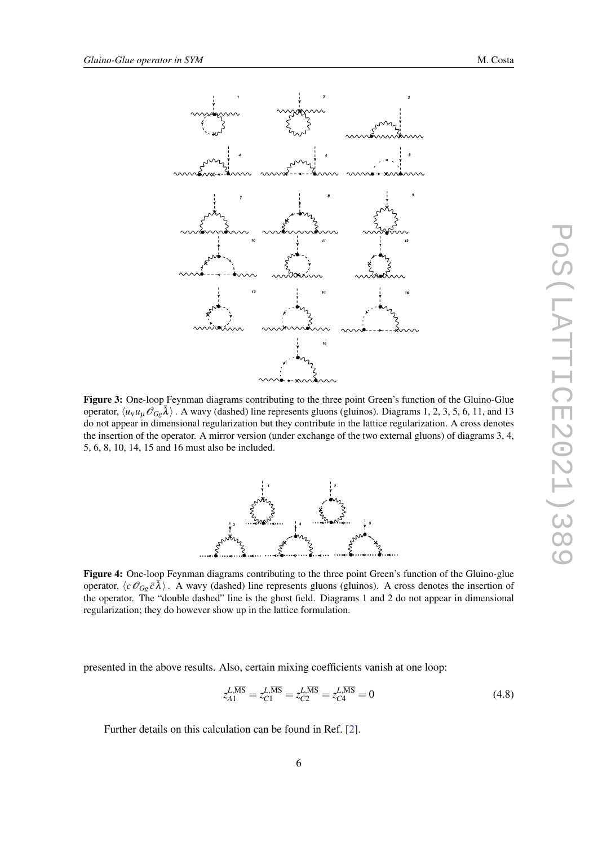

Figure 3: One-loop Feynman diagrams contributing to the three point Green's function of the Gluino-Glue operator,  $\langle u_V u_\mu \mathcal{O}_{Gg} \bar{\lambda} \rangle$ . A wavy (dashed) line represents gluons (gluinos). Diagrams 1, 2, 3, 5, 6, 11, and 13 do not appear in dimensional regularization but they contribute in the lattice regularization. A cross denotes the insertion of the operator. A mirror version (under exchange of the two external gluons) of diagrams 3, 4, 5, 6, 8, 10, 14, 15 and 16 must also be included.



Figure 4: One-loop Feynman diagrams contributing to the three point Green's function of the Gluino-glue operator,  $\langle c \mathcal{O}_{Gg} \bar{c} \bar{\lambda} \rangle$ . A wavy (dashed) line represents gluons (gluinos). A cross denotes the insertion of the operator. The "double dashed" line is the ghost field. Diagrams 1 and 2 do not appear in dimensional regularization; they do however show up in the lattice formulation.

presented in the above results. Also, certain mixing coefficients vanish at one loop:

$$
z_{A1}^{\overline{L,\overline{\rm MS}}} = z_{C1}^{\overline{L,\overline{\rm MS}}} = z_{C2}^{\overline{L,\overline{\rm MS}}} = z_{C4}^{\overline{L,\overline{\rm MS}}} = 0
$$
\n(4.8)

Further details on this calculation can be found in Ref. [[2](#page-7-0)].